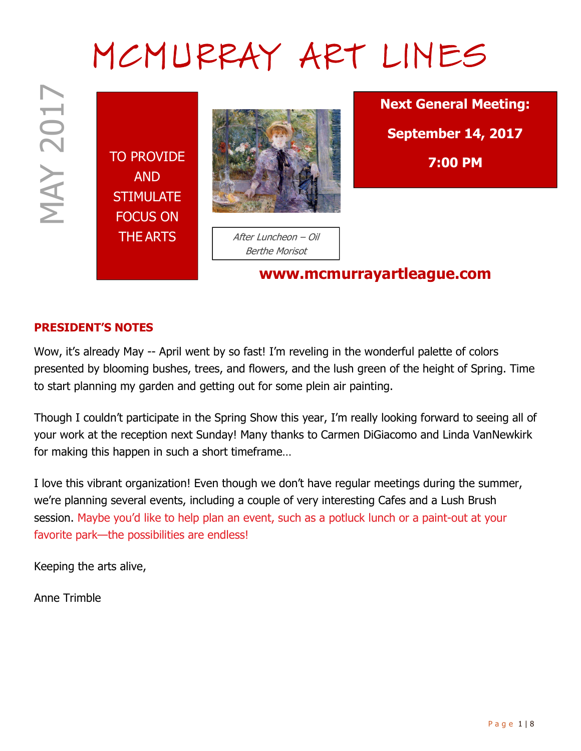# MCMURRAY ART LINES

**MAY 2017** 

TO PROVIDE AND **STIMULATE** FOCUS ON



THE ARTS After Luncheon – Oil Berthe Morisot

www.mcmurrayartleague.com

Next General Meeting: September 14, 2017 7:00 PM

#### PRESIDENT'S NOTES

Wow, it's already May -- April went by so fast! I'm reveling in the wonderful palette of colors presented by blooming bushes, trees, and flowers, and the lush green of the height of Spring. Time to start planning my garden and getting out for some plein air painting.

Though I couldn't participate in the Spring Show this year, I'm really looking forward to seeing all of your work at the reception next Sunday! Many thanks to Carmen DiGiacomo and Linda VanNewkirk for making this happen in such a short timeframe…

**EXECUTE THE ARTS**<br>
TO PROVIDE<br>
TO PROVIDE<br>
FOCUS ON<br>
THE ARTS<br>
FOCUS ON<br>
THE ARTS<br>
FOCUS ON<br>
THE ARTS<br>
FOCUS ON<br>
THE ARTS<br>
PROVIDE<br>
FOCUS ON<br>
THE ARTS<br>
NOW, INSURED TO PROVIDE<br>
THE ARTS<br>
NOW, INSURED TO PROVIDE TO A SURFA I love this vibrant organization! Even though we don't have regular meetings during the summer, we're planning several events, including a couple of very interesting Cafes and a Lush Brush session. Maybe you'd like to help plan an event, such as a potluck lunch or a paint-out at your favorite park—the possibilities are endless!

Keeping the arts alive,

Anne Trimble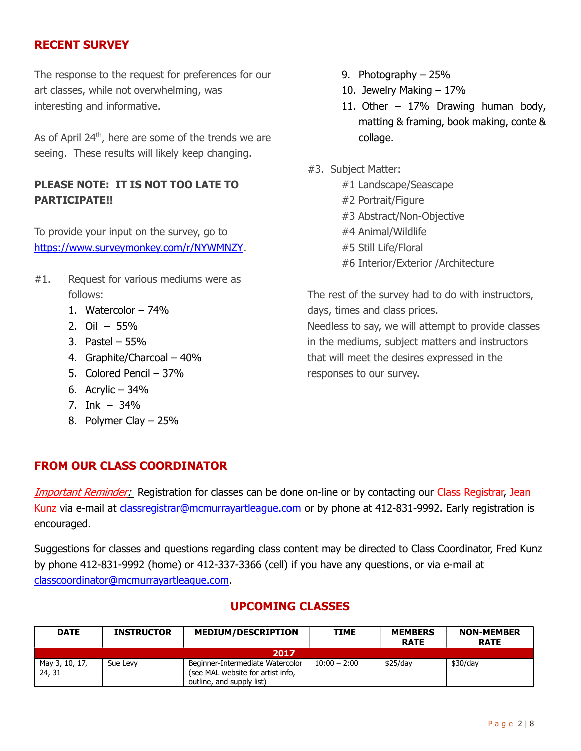### RECENT SURVEY

The response to the request for preferences for our art classes, while not overwhelming, was interesting and informative.

As of April  $24<sup>th</sup>$ , here are some of the trends we are seeing. These results will likely keep changing.

## PLEASE NOTE: IT IS NOT TOO LATE TO PARTICIPATE!!

To provide your input on the survey, go to https://www.surveymonkey.com/r/NYWMNZY.

- #1. Request for various mediums were as follows:
	- 1. Watercolor 74%
	- 2. Oil 55%
	- 3. Pastel 55%
	- 4. Graphite/Charcoal 40%
	- 5. Colored Pencil 37%
	- 6. Acrylic 34%
	- 7. Ink 34%
	- 8. Polymer Clay 25%
- 9. Photography 25%
- 10. Jewelry Making 17%
- 11. Other 17% Drawing human body, matting & framing, book making, conte & collage.
- #3. Subject Matter:
	- #1 Landscape/Seascape
	- #2 Portrait/Figure
	- #3 Abstract/Non-Objective
	- #4 Animal/Wildlife
	- #5 Still Life/Floral
	- #6 Interior/Exterior /Architecture

The rest of the survey had to do with instructors, days, times and class prices. Needless to say, we will attempt to provide classes in the mediums, subject matters and instructors that will meet the desires expressed in the responses to our survey.

#### FROM OUR CLASS COORDINATOR

Important Reminder: Registration for classes can be done on-line or by contacting our Class Registrar, Jean Kunz via e-mail at classregistrar@mcmurrayartleague.com or by phone at 412-831-9992. Early registration is encouraged.

Suggestions for classes and questions regarding class content may be directed to Class Coordinator, Fred Kunz by phone 412-831-9992 (home) or 412-337-3366 (cell) if you have any questions, or via e-mail at classcoordinator@mcmurrayartleague.com.

# UPCOMING CLASSES

| <b>DATE</b>              | <b>INSTRUCTOR</b> | <b>MEDIUM/DESCRIPTION</b>                                                                          | <b>TIME</b>    | <b>MEMBERS</b><br><b>RATE</b> | <b>NON-MEMBER</b><br><b>RATE</b> |  |
|--------------------------|-------------------|----------------------------------------------------------------------------------------------------|----------------|-------------------------------|----------------------------------|--|
| 2017                     |                   |                                                                                                    |                |                               |                                  |  |
| May 3, 10, 17,<br>24, 31 | Sue Levy          | Beginner-Intermediate Watercolor<br>(see MAL website for artist info,<br>outline, and supply list) | $10:00 - 2:00$ | $$25$ /dav                    | \$30/day                         |  |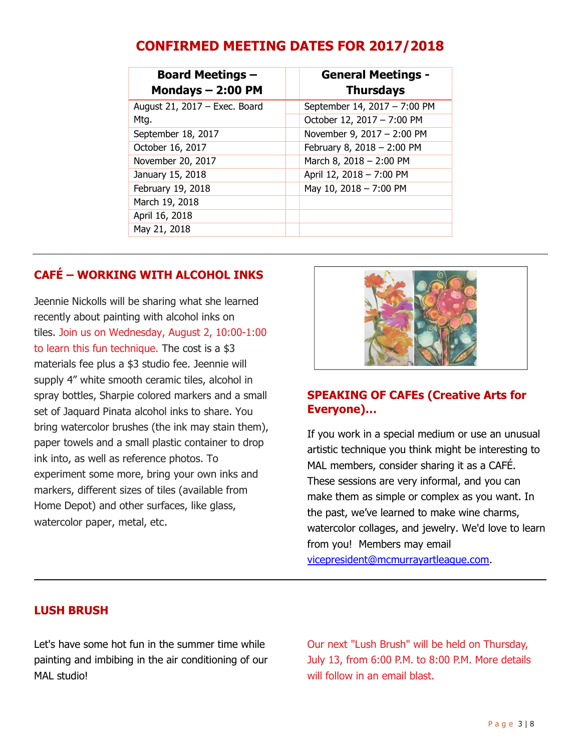|--|

| <b>Board Meetings -</b><br>Mondays $-2:00$ PM | <b>General Meetings -</b><br><b>Thursdays</b> |
|-----------------------------------------------|-----------------------------------------------|
| August 21, 2017 - Exec. Board                 | September 14, 2017 - 7:00 PM                  |
| Mtg.                                          | October 12, 2017 - 7:00 PM                    |
| September 18, 2017                            | November 9, 2017 - 2:00 PM                    |
| October 16, 2017                              | February 8, 2018 - 2:00 PM                    |
| November 20, 2017                             | March 8, 2018 - 2:00 PM                       |
| January 15, 2018                              | April 12, 2018 - 7:00 PM                      |
| February 19, 2018                             | May 10, 2018 - 7:00 PM                        |
| March 19, 2018                                |                                               |
| April 16, 2018                                |                                               |
| May 21, 2018                                  |                                               |

# CAFÉ – WORKING WITH ALCOHOL INKS

Jeennie Nickolls will be sharing what she learned recently about painting with alcohol inks on tiles. Join us on Wednesday, August 2, 10:00-1:00 to learn this fun technique. The cost is a \$3 materials fee plus a \$3 studio fee. Jeennie will supply 4" white smooth ceramic tiles, alcohol in spray bottles, Sharpie colored markers and a small set of Jaquard Pinata alcohol inks to share. You bring watercolor brushes (the ink may stain them), paper towels and a small plastic container to drop ink into, as well as reference photos. To experiment some more, bring your own inks and markers, different sizes of tiles (available from Home Depot) and other surfaces, like glass, watercolor paper, metal, etc.



#### SPEAKING OF CAFEs (Creative Arts for Everyone)…

If you work in a special medium or use an unusual artistic technique you think might be interesting to MAL members, consider sharing it as a CAFÉ. These sessions are very informal, and you can make them as simple or complex as you want. In the past, we've learned to make wine charms, watercolor collages, and jewelry. We'd love to learn from you! Members may email

vicepresident@mcmurrayartleague.com.

#### LUSH BRUSH

Let's have some hot fun in the summer time while painting and imbibing in the air conditioning of our MAL studio!

Our next "Lush Brush" will be held on Thursday, July 13, from 6:00 P.M. to 8:00 P.M. More details will follow in an email blast.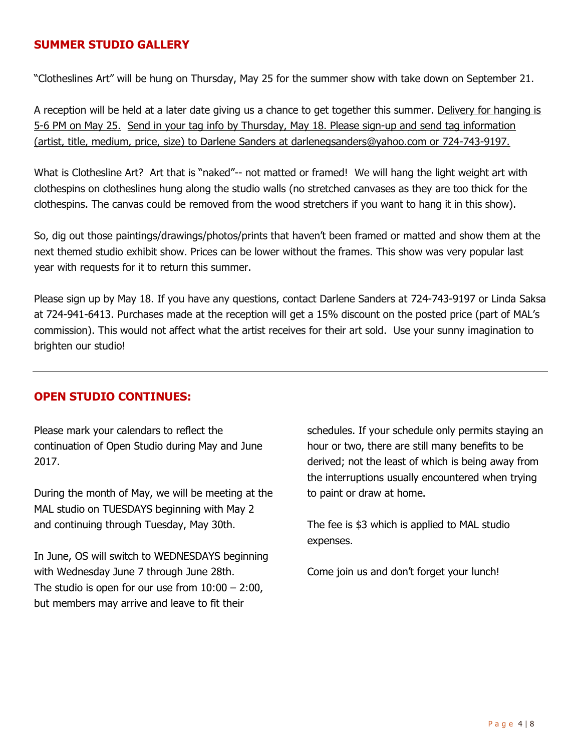#### SUMMER STUDIO GALLERY

"Clotheslines Art" will be hung on Thursday, May 25 for the summer show with take down on September 21.

A reception will be held at a later date giving us a chance to get together this summer. Delivery for hanging is 5-6 PM on May 25. Send in your tag info by Thursday, May 18. Please sign-up and send tag information (artist, title, medium, price, size) to Darlene Sanders at darlenegsanders@yahoo.com or 724-743-9197.

What is Clothesline Art? Art that is "naked"-- not matted or framed! We will hang the light weight art with clothespins on clotheslines hung along the studio walls (no stretched canvases as they are too thick for the clothespins. The canvas could be removed from the wood stretchers if you want to hang it in this show).

So, dig out those paintings/drawings/photos/prints that haven't been framed or matted and show them at the next themed studio exhibit show. Prices can be lower without the frames. This show was very popular last year with requests for it to return this summer.

Please sign up by May 18. If you have any questions, contact Darlene Sanders at 724-743-9197 or Linda Saksa at 724-941-6413. Purchases made at the reception will get a 15% discount on the posted price (part of MAL's commission). This would not affect what the artist receives for their art sold. Use your sunny imagination to brighten our studio!

#### OPEN STUDIO CONTINUES:

Please mark your calendars to reflect the continuation of Open Studio during May and June 2017.

During the month of May, we will be meeting at the MAL studio on TUESDAYS beginning with May 2 and continuing through Tuesday, May 30th.

In June, OS will switch to WEDNESDAYS beginning with Wednesday June 7 through June 28th. The studio is open for our use from  $10:00 - 2:00$ , but members may arrive and leave to fit their

schedules. If your schedule only permits staying an hour or two, there are still many benefits to be derived; not the least of which is being away from the interruptions usually encountered when trying to paint or draw at home.

The fee is \$3 which is applied to MAL studio expenses.

Come join us and don't forget your lunch!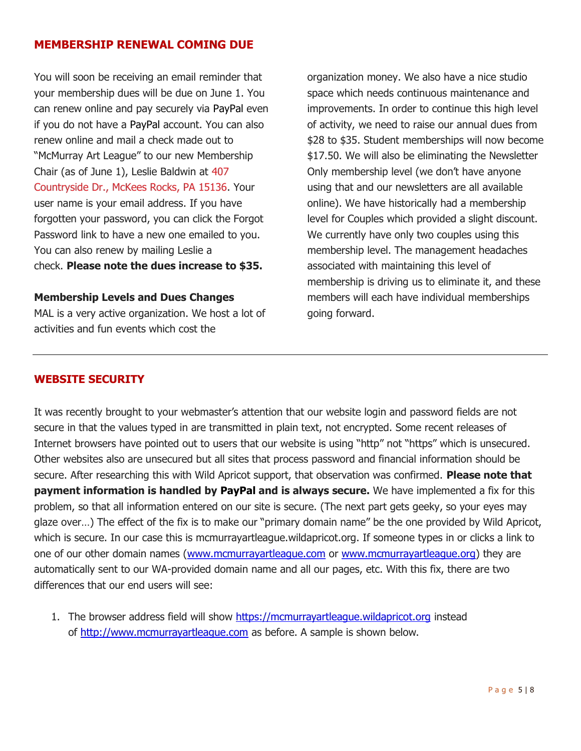#### MEMBERSHIP RENEWAL COMING DUE

You will soon be receiving an email reminder that your membership dues will be due on June 1. You can renew online and pay securely via PayPal even if you do not have a PayPal account. You can also renew online and mail a check made out to "McMurray Art League" to our new Membership Chair (as of June 1), Leslie Baldwin at 407 Countryside Dr., McKees Rocks, PA 15136. Your user name is your email address. If you have forgotten your password, you can click the Forgot Password link to have a new one emailed to you. You can also renew by mailing Leslie a check. Please note the dues increase to \$35.

#### Membership Levels and Dues Changes

MAL is a very active organization. We host a lot of activities and fun events which cost the

organization money. We also have a nice studio space which needs continuous maintenance and improvements. In order to continue this high level of activity, we need to raise our annual dues from \$28 to \$35. Student memberships will now become \$17.50. We will also be eliminating the Newsletter Only membership level (we don't have anyone using that and our newsletters are all available online). We have historically had a membership level for Couples which provided a slight discount. We currently have only two couples using this membership level. The management headaches associated with maintaining this level of membership is driving us to eliminate it, and these members will each have individual memberships going forward.

## WEBSITE SECURITY

It was recently brought to your webmaster's attention that our website login and password fields are not secure in that the values typed in are transmitted in plain text, not encrypted. Some recent releases of Internet browsers have pointed out to users that our website is using "http" not "https" which is unsecured. Other websites also are unsecured but all sites that process password and financial information should be secure. After researching this with Wild Apricot support, that observation was confirmed. Please note that **payment information is handled by PayPal and is always secure.** We have implemented a fix for this problem, so that all information entered on our site is secure. (The next part gets geeky, so your eyes may glaze over…) The effect of the fix is to make our "primary domain name" be the one provided by Wild Apricot, which is secure. In our case this is mcmurrayartleague.wildapricot.org. If someone types in or clicks a link to one of our other domain names (www.mcmurrayartleague.com or www.mcmurrayartleague.org) they are automatically sent to our WA-provided domain name and all our pages, etc. With this fix, there are two differences that our end users will see:

1. The browser address field will show https://mcmurrayartleague.wildapricot.org instead of http://www.mcmurrayartleague.com as before. A sample is shown below.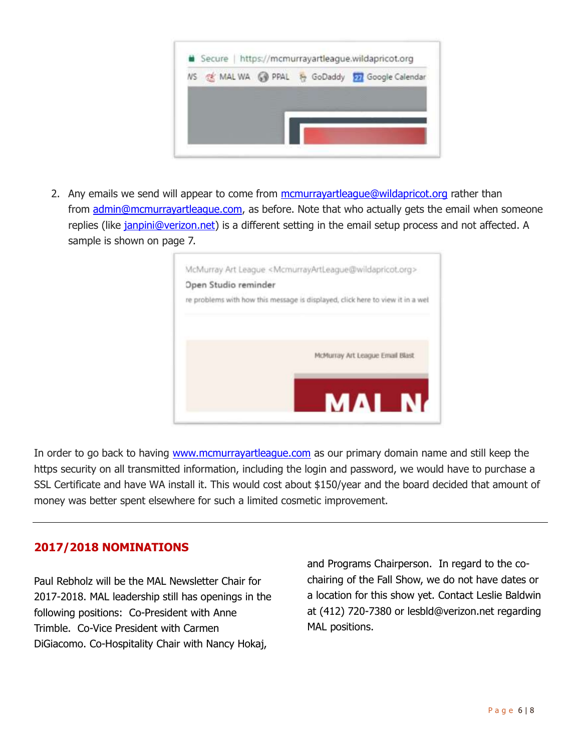

2. Any emails we send will appear to come from mcmurrayartleague@wildapricot.org rather than from admin@mcmurrayartleague.com, as before. Note that who actually gets the email when someone replies (like janpini@verizon.net) is a different setting in the email setup process and not affected. A sample is shown on page 7.



In order to go back to having www.mcmurrayartleague.com as our primary domain name and still keep the https security on all transmitted information, including the login and password, we would have to purchase a SSL Certificate and have WA install it. This would cost about \$150/year and the board decided that amount of money was better spent elsewhere for such a limited cosmetic improvement.

#### 2017/2018 NOMINATIONS

Paul Rebholz will be the MAL Newsletter Chair for 2017-2018. MAL leadership still has openings in the following positions: Co-President with Anne Trimble. Co-Vice President with Carmen DiGiacomo. Co-Hospitality Chair with Nancy Hokaj,

and Programs Chairperson. In regard to the cochairing of the Fall Show, we do not have dates or a location for this show yet. Contact Leslie Baldwin at (412) 720-7380 or lesbld@verizon.net regarding MAL positions.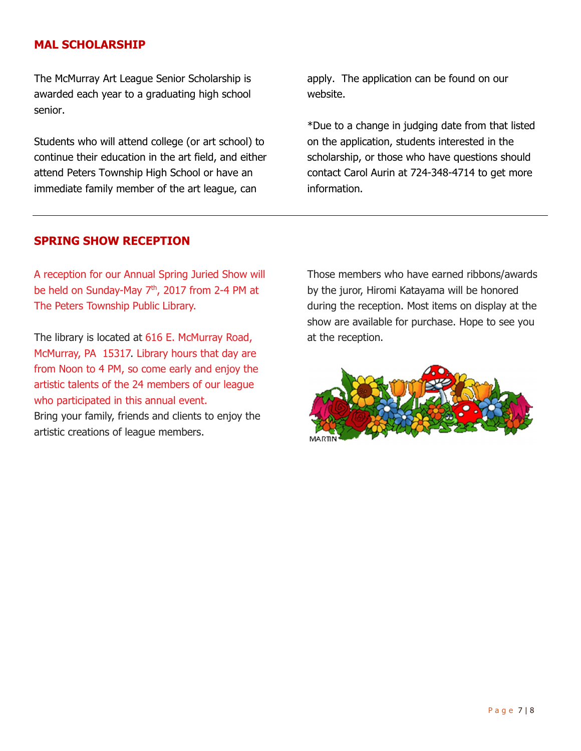#### MAL SCHOLARSHIP

The McMurray Art League Senior Scholarship is awarded each year to a graduating high school senior.

Students who will attend college (or art school) to continue their education in the art field, and either attend Peters Township High School or have an immediate family member of the art league, can

apply. The application can be found on our website.

\*Due to a change in judging date from that listed on the application, students interested in the scholarship, or those who have questions should contact Carol Aurin at 724-348-4714 to get more information.

#### SPRING SHOW RECEPTION

A reception for our Annual Spring Juried Show will be held on Sunday-May 7<sup>th</sup>, 2017 from 2-4 PM at The Peters Township Public Library.

The library is located at 616 E. McMurray Road, McMurray, PA 15317. Library hours that day are from Noon to 4 PM, so come early and enjoy the artistic talents of the 24 members of our league who participated in this annual event.

Bring your family, friends and clients to enjoy the artistic creations of league members.

Those members who have earned ribbons/awards by the juror, Hiromi Katayama will be honored during the reception. Most items on display at the show are available for purchase. Hope to see you at the reception.